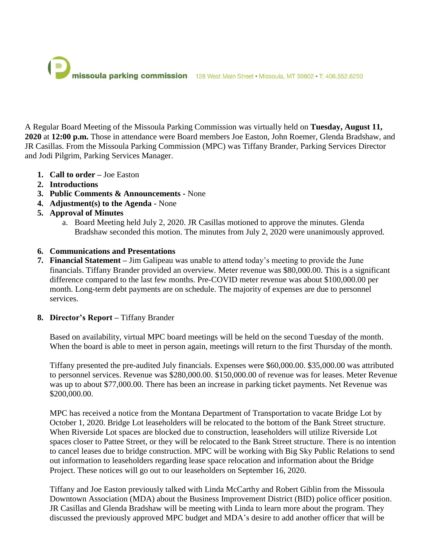

A Regular Board Meeting of the Missoula Parking Commission was virtually held on **Tuesday, August 11, 2020** at **12:00 p.m.** Those in attendance were Board members Joe Easton, John Roemer, Glenda Bradshaw, and JR Casillas. From the Missoula Parking Commission (MPC) was Tiffany Brander, Parking Services Director and Jodi Pilgrim, Parking Services Manager.

- **1. Call to order –** Joe Easton
- **2. Introductions**
- **3. Public Comments & Announcements -** None
- **4. Adjustment(s) to the Agenda -** None
- **5. Approval of Minutes**
	- a. Board Meeting held July 2, 2020. JR Casillas motioned to approve the minutes. Glenda Bradshaw seconded this motion. The minutes from July 2, 2020 were unanimously approved.

## **6. Communications and Presentations**

**7. Financial Statement –** Jim Galipeau was unable to attend today's meeting to provide the June financials. Tiffany Brander provided an overview. Meter revenue was \$80,000.00. This is a significant difference compared to the last few months. Pre-COVID meter revenue was about \$100,000.00 per month. Long-term debt payments are on schedule. The majority of expenses are due to personnel services.

## **8. Director's Report –** Tiffany Brander

Based on availability, virtual MPC board meetings will be held on the second Tuesday of the month. When the board is able to meet in person again, meetings will return to the first Thursday of the month.

Tiffany presented the pre-audited July financials. Expenses were \$60,000.00. \$35,000.00 was attributed to personnel services. Revenue was \$280,000.00. \$150,000.00 of revenue was for leases. Meter Revenue was up to about \$77,000.00. There has been an increase in parking ticket payments. Net Revenue was \$200,000.00.

MPC has received a notice from the Montana Department of Transportation to vacate Bridge Lot by October 1, 2020. Bridge Lot leaseholders will be relocated to the bottom of the Bank Street structure. When Riverside Lot spaces are blocked due to construction, leaseholders will utilize Riverside Lot spaces closer to Pattee Street, or they will be relocated to the Bank Street structure. There is no intention to cancel leases due to bridge construction. MPC will be working with Big Sky Public Relations to send out information to leaseholders regarding lease space relocation and information about the Bridge Project. These notices will go out to our leaseholders on September 16, 2020.

Tiffany and Joe Easton previously talked with Linda McCarthy and Robert Giblin from the Missoula Downtown Association (MDA) about the Business Improvement District (BID) police officer position. JR Casillas and Glenda Bradshaw will be meeting with Linda to learn more about the program. They discussed the previously approved MPC budget and MDA's desire to add another officer that will be